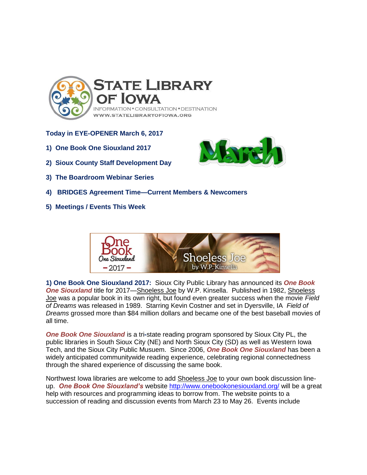

## **Today in EYE-OPENER March 6, 2017**

- **1) One Book One Siouxland 2017**
- **2) Sioux County Staff Development Day**
- **3) The Boardroom Webinar Series**



**5) Meetings / Events This Week**



**1) One Book One Siouxland 2017:** Sioux City Public Library has announced its *One Book*  **One Siouxland** title for 2017—Shoeless Joe by W.P. Kinsella. Published in 1982, Shoeless Joe was a popular book in its own right, but found even greater success when the movie *Field of Dreams* was released in 1989. Starring Kevin Costner and set in Dyersville, IA *Field of Dreams* grossed more than \$84 million dollars and became one of the best baseball movies of all time.

*One Book One Siouxland* is a tri**-**state reading program sponsored by Sioux City PL, the public libraries in South Sioux City (NE) and North Sioux City (SD) as well as Western Iowa Tech, and the Sioux City Public Musuem. Since 2006, *One Book One Siouxland* has been a widely anticipated communitywide reading experience, celebrating regional connectedness through the shared experience of discussing the same book.

Northwest Iowa libraries are welcome to add Shoeless Joe to your own book discussion lineup. *One Book One Siouxland's* website<http://www.onebookonesiouxland.org/> will be a great help with resources and programming ideas to borrow from. The website points to a succession of reading and discussion events from March 23 to May 26. Events include

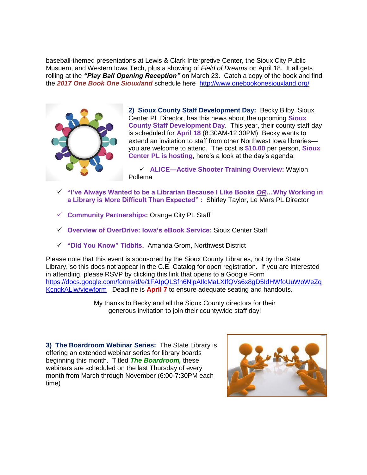baseball-themed presentations at Lewis & Clark Interpretive Center, the Sioux City Public Musuem, and Western Iowa Tech, plus a showing of *Field of Dreams* on April 18. It all gets rolling at the *"Play Ball Opening Reception"* on March 23. Catch a copy of the book and find the *2017 One Book One Siouxland* schedule here <http://www.onebookonesiouxland.org/>



**2) Sioux County Staff Development Day:** Becky Bilby, Sioux Center PL Director, has this news about the upcoming **Sioux County Staff Development Day**. This year, their county staff day is scheduled for **April 18** (8:30AM-12:30PM) Becky wants to extend an invitation to staff from other Northwest Iowa libraries you are welcome to attend. The cost is **\$10.00** per person, **Sioux Center PL is hosting**, here's a look at the day's agenda:

 **ALICE—Active Shooter Training Overview:** Waylon Pollema

- **"I've Always Wanted to be a Librarian Because I Like Books** *OR***…Why Working in a Library is More Difficult Than Expected" :** Shirley Taylor, Le Mars PL Director
- **Community Partnerships:** Orange City PL Staff
- **Overview of OverDrive: Iowa's eBook Service:** Sioux Center Staff
- **"Did You Know" Tidbits.** Amanda Grom, Northwest District

Please note that this event is sponsored by the Sioux County Libraries, not by the State Library, so this does not appear in the C.E. Catalog for open registration. If you are interested in attending, please RSVP by clicking this link that opens to a Google Form [https://docs.google.com/forms/d/e/1FAIpQLSfh6NipAIlcMaLXIfQVs6x8gD5IdHWfoUuWoWeZq](https://docs.google.com/forms/d/e/1FAIpQLSfh6NipAIlcMaLXIfQVs6x8gD5IdHWfoUuWoWeZqKcngkALlw/viewform) [KcngkALlw/viewform](https://docs.google.com/forms/d/e/1FAIpQLSfh6NipAIlcMaLXIfQVs6x8gD5IdHWfoUuWoWeZqKcngkALlw/viewform) Deadline is **April 7** to ensure adequate seating and handouts.

> My thanks to Becky and all the Sioux County directors for their generous invitation to join their countywide staff day!

**3) The Boardroom Webinar Series:** The State Library is offering an extended webinar series for library boards beginning this month. Titled *The Boardroom,* these webinars are scheduled on the last Thursday of every month from March through November (6:00-7:30PM each time)

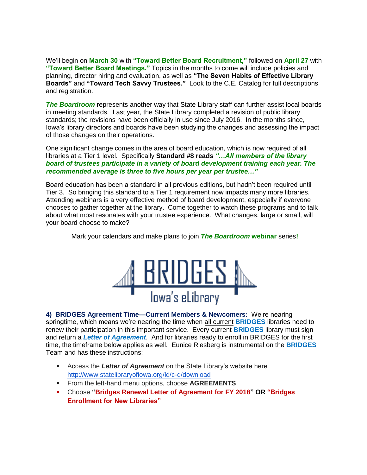We'll begin on **March 30** with **"Toward Better Board Recruitment,"** followed on **April 27** with **"Toward Better Board Meetings."** Topics in the months to come will include policies and planning, director hiring and evaluation, as well as **"The Seven Habits of Effective Library Boards"** and **"Toward Tech Savvy Trustees."** Look to the C.E. Catalog for full descriptions and registration.

*The Boardroom* represents another way that State Library staff can further assist local boards in meeting standards. Last year, the State Library completed a revision of public library standards; the revisions have been officially in use since July 2016. In the months since, Iowa's library directors and boards have been studying the changes and assessing the impact of those changes on their operations.

One significant change comes in the area of board education, which is now required of all libraries at a Tier 1 level. Specifically **Standard #8 reads** *"…All members of the library board of trustees participate in a variety of board development training each year. The recommended average is three to five hours per year per trustee…"* 

Board education has been a standard in all previous editions, but hadn't been required until Tier 3. So bringing this standard to a Tier 1 requirement now impacts many more libraries. Attending webinars is a very effective method of board development, especially if everyone chooses to gather together at the library. Come together to watch these programs and to talk about what most resonates with your trustee experience. What changes, large or small, will your board choose to make?

Mark your calendars and make plans to join *The Boardroom* **webinar** series**!**



**4) BRIDGES Agreement Time—Current Members & Newcomers:** We're nearing springtime, which means we're nearing the time when all current **BRIDGES** libraries need to renew their participation in this important service. Every current **BRIDGES** library must sign and return a *Letter of Agreement*. And for libraries ready to enroll in BRIDGES for the first time, the timeframe below applies as well. Eunice Riesberg is instrumental on the **BRIDGES** Team and has these instructions:

- **Access the Letter of Agreement** on the State Library's website here <http://www.statelibraryofiowa.org/ld/c-d/download>
- From the left-hand menu options, choose **AGREEMENTS**
- Choose **"Bridges Renewal Letter of Agreement for FY 2018" OR "Bridges Enrollment for New Libraries"**